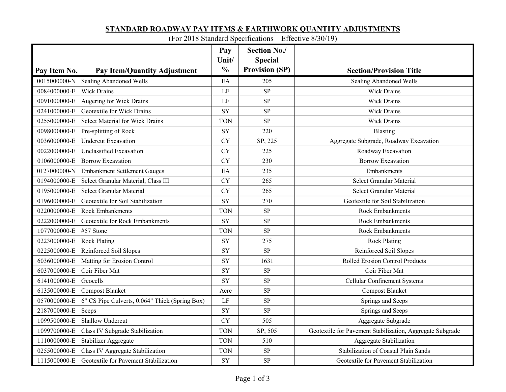# **Pay Item No. Pay Item/Quantity Adjustment Pay Unit/ % Section No./ Special Provision (SP)** Section/Provision Title 0015000000-N Sealing Abandoned Wells **EA 205** Sealing Abandoned Wells 0084000000-E Wick Drains Note and Security Security Security Security Security Security Security Security Security Security Security Security Security Security Security Security Security Security Security Security Security 0091000000-E Augering for Wick Drains Number 1 200910000000-E Augering for Wick Drains 0241000000-E Geotextile for Wick Drains SY SP SP Wick Drains Wick Drains 0255000000-E Select Material for Wick Drains TON SP SP Wick Drains 0098000000-E Pre-splitting of Rock SY SY 220 Blasting 0036000000-E Undercut Excavation CY SP, 225 Aggregate Subgrade, Roadway Excavation 0022000000-E Unclassified Excavation CY CY 225 Roadway Excavation 0106000000-E Borrow Excavation CY CY 230 Borrow Excavation 0127000000-N Embankment Settlement Gauges Bankments Embankments 0194000000-E Select Granular Material, Class III CY CY 265 Select Granular Material 0195000000-E Select Granular Material CY 265 Select Granular Material 0196000000-E Geotextile for Soil Stabilization SY SY 270 Geotextile for Soil Stabilization 0220000000-E Rock Embankments TON SP Rock Embankments 0222000000-E Geotextile for Rock Embankments SY SP SP Rock Embankments 1077000000-E #57 Stone SP Rock Embankments 0223000000-E Rock Plating November 20023000000-E Rock Plating November 275 Rock Plating 0225000000-E Reinforced Soil Slopes SY SP SP Reinforced Soil Slopes 6036000000-E Matting for Erosion Control SY 1631 Rolled Erosion Control Products 6037000000-E Coir Fiber Mat November 1987 SP SP Coir Fiber Mat 6141000000-E Geocells SY SP SP Cellular Confinement Systems 6135000000-E Compost Blanket Acre Acre SP SP Compost Blanket 0570000000-E 6" CS Pipe Culverts, 0.064" Thick (Spring Box) LF SP Springs and Seeps 2187000000-E Seeps Springs and Seeps Springs and Seeps Springs and Seeps 1099500000-E Shallow Undercut CY 505 Aggregate Subgrade 1099700000-E Class IV Subgrade Stabilization TON SP, 505 Geotextile for Pavement Stabilization, Aggregate Subgrade 1110000000-E Stabilizer Aggregate 1988 and 1110000000-E Stabilization 0255000000-E Class IV Aggregate Stabilization TON SP Stabilization of Coastal Plain Sands 1115000000-E Geotextile for Pavement Stabilization SY SP Geotextile for Pavement Stabilization

### **STANDARD ROADWAY PAY ITEMS & EARTHWORK QUANTITY ADJUSTMENTS**

(For 2018 Standard Specifications – Effective 8/30/19)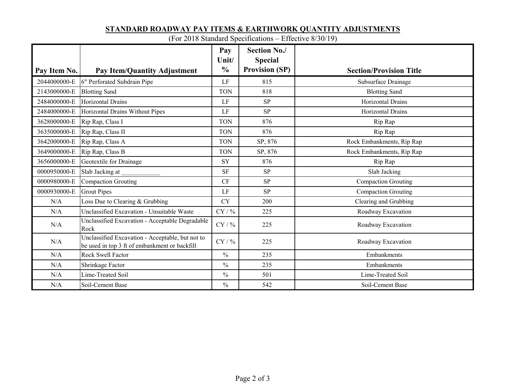#### **Pay Item No. Pay Item/Quantity Adjustment Pay Unit/ % Section No./ Special Provision (SP)** Section/Provision Title 2044000000-E 6" Perforated Subdrain Pipe LF B15 815 Subsurface Drainage 2143000000-E Blotting Sand Sand School School (School School School School School School School School School S 2484000000-E Horizontal Drains LF SP Horizontal Drains 2484000000-E Horizontal Drains Without Pipes LF LF SP SP Horizontal Drains 3628000000-E Rip Rap, Class I TON 876 Rip Rap 3635000000-E Rip Rap, Class II TON 876 Rip Rap 3642000000-E Rip Rap, Class A TON SP, 876 Rock Embankments, Rip Rap 3649000000-E Rip Rap, Class B TON SP, 876 Rock Embankments, Rip Rap 3656000000-E Geotextile for Drainage SY SY 876 Rip Rap 0000950000-E Slab Jacking at \_\_\_\_\_\_\_\_\_\_\_\_ SF SP Slab Jacking 0000980000-E Compaction Grouting Text CF SP SP Compaction Grouting CF CF Compaction Grouting 0000930000-E Grout Pipes and Compaction Compaction Grouting LF SP Compaction Grouting N/A Loss Due to Clearing & Grubbing CY 200 Clearing and Grubbing N/A Unclassified Excavation - Unsuitable Waste CY / % 225 Roadway Excavation N/A Unclassified Excavation - Acceptable Degradable<br>Rock Rock Roadway Excavation Reception Degradus CY / % 225 Roadway Excavation N/A Unclassified Excavation - Acceptable, but not to be used in top 3 ft of embankment or backfill  $CY / \%$  225 Roadway Excavation N/A Rock Swell Factor  $\begin{array}{ccc} \text{N/A} & \text{Rock Swell Factor} \\ \text{N/A} & \text{Rock Swell Factor} \end{array}$ N/A Shrinkage Factor 1996 | 235 | Embankments N/A Lime-Treated Soil 8. 1996 1997 10:00 10:00 10:00 10:00 10:00 10:00 10:00 10:00 10:00 10:00 10:00 10:00 10:00 10:00 10:00 10:00 10:00 10:00 10:00 10:00 10:00 10:00 10:00 10:00 10:00 10:00 10:00 10:00 10:00 10:00 10:00 1 N/A Soil-Cement Base 8 and 542 Soil-Cement Base 542 Soil-Cement Base

# **STANDARD ROADWAY PAY ITEMS & EARTHWORK QUANTITY ADJUSTMENTS**

(For 2018 Standard Specifications – Effective 8/30/19)